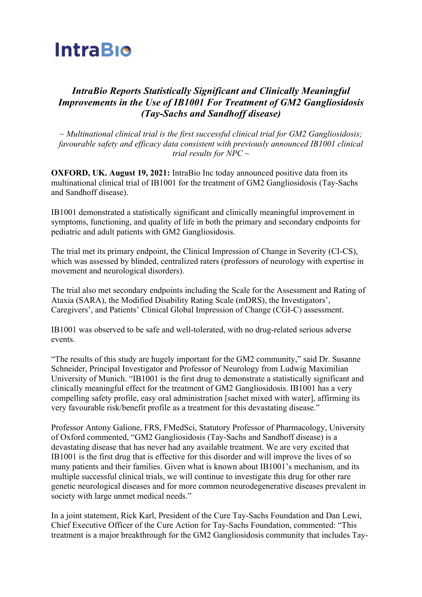### **IntraBio**

### *IntraBio Reports Statistically Significant and Clinically Meaningful Improvements in the Use of IB1001 For Treatment of GM2 Gangliosidosis (Tay-Sachs and Sandhoff disease)*

*~ Multinational clinical trial is the first successful clinical trial for GM2 Gangliosidosis; favourable safety and efficacy data consistent with previously announced IB1001 clinical trial results for NPC ~*

**OXFORD, UK. August 19, 2021:** IntraBio Inc today announced positive data from its multinational clinical trial of IB1001 for the treatment of GM2 Gangliosidosis (Tay-Sachs and Sandhoff disease).

IB1001 demonstrated a statistically significant and clinically meaningful improvement in symptoms, functioning, and quality of life in both the primary and secondary endpoints for pediatric and adult patients with GM2 Gangliosidosis.

The trial met its primary endpoint, the Clinical Impression of Change in Severity (CI-CS), which was assessed by blinded, centralized raters (professors of neurology with expertise in movement and neurological disorders).

The trial also met secondary endpoints including the Scale for the Assessment and Rating of Ataxia (SARA), the Modified Disability Rating Scale (mDRS), the Investigators', Caregivers', and Patients' Clinical Global Impression of Change (CGI-C) assessment.

IB1001 was observed to be safe and well-tolerated, with no drug-related serious adverse events.

"The results of this study are hugely important for the GM2 community," said Dr. Susanne Schneider, Principal Investigator and Professor of Neurology from Ludwig Maximilian University of Munich. "IB1001 is the first drug to demonstrate a statistically significant and clinically meaningful effect for the treatment of GM2 Gangliosidosis. IB1001 has a very compelling safety profile, easy oral administration [sachet mixed with water], affirming its very favourable risk/benefit profile as a treatment for this devastating disease."

Professor Antony Galione, FRS, FMedSci, Statutory Professor of Pharmacology, University of Oxford commented, "GM2 Gangliosidosis (Tay-Sachs and Sandhoff disease) is a devastating disease that has never had any available treatment. We are very excited that IB1001 is the first drug that is effective for this disorder and will improve the lives of so many patients and their families. Given what is known about IB1001's mechanism, and its multiple successful clinical trials, we will continue to investigate this drug for other rare genetic neurological diseases and for more common neurodegenerative diseases prevalent in society with large unmet medical needs."

In a joint statement, Rick Karl, President of the Cure Tay-Sachs Foundation and Dan Lewi, Chief Executive Officer of the Cure Action for Tay-Sachs Foundation, commented: "This treatment is a major breakthrough for the GM2 Gangliosidosis community that includes Tay-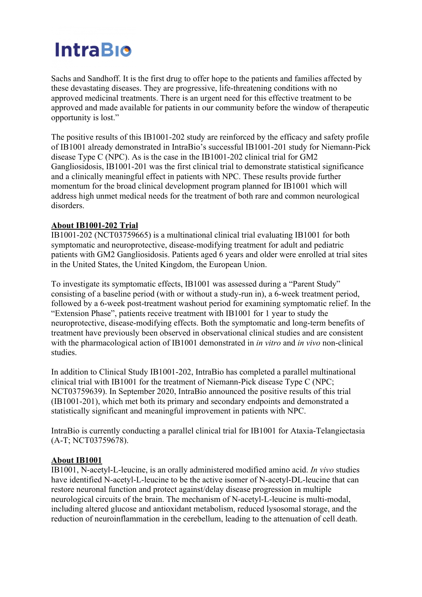# **IntraBio**

Sachs and Sandhoff. It is the first drug to offer hope to the patients and families affected by these devastating diseases. They are progressive, life-threatening conditions with no approved medicinal treatments. There is an urgent need for this effective treatment to be approved and made available for patients in our community before the window of therapeutic opportunity is lost."

The positive results of this IB1001-202 study are reinforced by the efficacy and safety profile of IB1001 already demonstrated in IntraBio's successful IB1001-201 study for Niemann-Pick disease Type C (NPC). As is the case in the IB1001-202 clinical trial for GM2 Gangliosidosis, IB1001-201 was the first clinical trial to demonstrate statistical significance and a clinically meaningful effect in patients with NPC. These results provide further momentum for the broad clinical development program planned for IB1001 which will address high unmet medical needs for the treatment of both rare and common neurological disorders.

#### **About IB1001-202 Trial**

IB1001-202 (NCT03759665) is a multinational clinical trial evaluating IB1001 for both symptomatic and neuroprotective, disease-modifying treatment for adult and pediatric patients with GM2 Gangliosidosis. Patients aged 6 years and older were enrolled at trial sites in the United States, the United Kingdom, the European Union.

To investigate its symptomatic effects, IB1001 was assessed during a "Parent Study" consisting of a baseline period (with or without a study-run in), a 6-week treatment period, followed by a 6-week post-treatment washout period for examining symptomatic relief. In the "Extension Phase", patients receive treatment with IB1001 for 1 year to study the neuroprotective, disease-modifying effects. Both the symptomatic and long-term benefits of treatment have previously been observed in observational clinical studies and are consistent with the pharmacological action of IB1001 demonstrated in *in vitro* and *in vivo* non-clinical studies.

In addition to Clinical Study IB1001-202, IntraBio has completed a parallel multinational clinical trial with IB1001 for the treatment of Niemann-Pick disease Type C (NPC; NCT03759639). In September 2020, IntraBio announced the positive results of this trial (IB1001-201), which met both its primary and secondary endpoints and demonstrated a statistically significant and meaningful improvement in patients with NPC.

IntraBio is currently conducting a parallel clinical trial for IB1001 for Ataxia-Telangiectasia (A-T; NCT03759678).

#### **About IB1001**

IB1001, N-acetyl-L-leucine, is an orally administered modified amino acid. *In vivo* studies have identified N-acetyl-L-leucine to be the active isomer of N-acetyl-DL-leucine that can restore neuronal function and protect against/delay disease progression in multiple neurological circuits of the brain. The mechanism of N-acetyl-L-leucine is multi-modal, including altered glucose and antioxidant metabolism, reduced lysosomal storage, and the reduction of neuroinflammation in the cerebellum, leading to the attenuation of cell death.